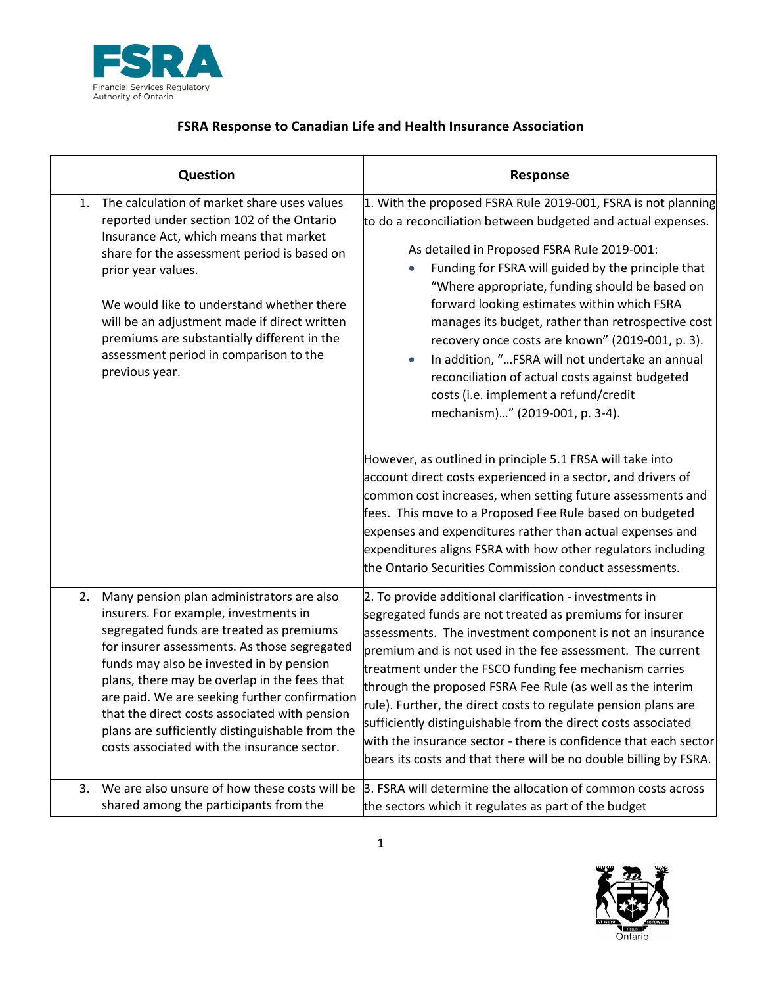

## **FSRA Response to Canadian Life and Health Insurance Association**

| Question                                                                                                                                                                                                                                                                                                                                                                                                                                                                             | Response                                                                                                                                                                                                                                                                                                                                                                                                                                                                                                                                                                                                                                                                                                                                                                                                                                                                                                                                                                                                                                                                      |
|--------------------------------------------------------------------------------------------------------------------------------------------------------------------------------------------------------------------------------------------------------------------------------------------------------------------------------------------------------------------------------------------------------------------------------------------------------------------------------------|-------------------------------------------------------------------------------------------------------------------------------------------------------------------------------------------------------------------------------------------------------------------------------------------------------------------------------------------------------------------------------------------------------------------------------------------------------------------------------------------------------------------------------------------------------------------------------------------------------------------------------------------------------------------------------------------------------------------------------------------------------------------------------------------------------------------------------------------------------------------------------------------------------------------------------------------------------------------------------------------------------------------------------------------------------------------------------|
| The calculation of market share uses values<br>1.<br>reported under section 102 of the Ontario<br>Insurance Act, which means that market<br>share for the assessment period is based on<br>prior year values.<br>We would like to understand whether there<br>will be an adjustment made if direct written<br>premiums are substantially different in the<br>assessment period in comparison to the<br>previous year.                                                                | 1. With the proposed FSRA Rule 2019-001, FSRA is not planning<br>to do a reconciliation between budgeted and actual expenses.<br>As detailed in Proposed FSRA Rule 2019-001:<br>Funding for FSRA will guided by the principle that<br>"Where appropriate, funding should be based on<br>forward looking estimates within which FSRA<br>manages its budget, rather than retrospective cost<br>recovery once costs are known" (2019-001, p. 3).<br>In addition, "FSRA will not undertake an annual<br>reconciliation of actual costs against budgeted<br>costs (i.e. implement a refund/credit<br>mechanism)" (2019-001, p. 3-4).<br>However, as outlined in principle 5.1 FRSA will take into<br>account direct costs experienced in a sector, and drivers of<br>common cost increases, when setting future assessments and<br>fees. This move to a Proposed Fee Rule based on budgeted<br>expenses and expenditures rather than actual expenses and<br>expenditures aligns FSRA with how other regulators including<br>the Ontario Securities Commission conduct assessments. |
| 2.<br>Many pension plan administrators are also<br>insurers. For example, investments in<br>segregated funds are treated as premiums<br>for insurer assessments. As those segregated<br>funds may also be invested in by pension<br>plans, there may be overlap in the fees that<br>are paid. We are seeking further confirmation<br>that the direct costs associated with pension<br>plans are sufficiently distinguishable from the<br>costs associated with the insurance sector. | 2. To provide additional clarification - investments in<br>segregated funds are not treated as premiums for insurer<br>assessments. The investment component is not an insurance<br>premium and is not used in the fee assessment. The current<br>treatment under the FSCO funding fee mechanism carries<br>through the proposed FSRA Fee Rule (as well as the interim<br>rule). Further, the direct costs to regulate pension plans are<br>sufficiently distinguishable from the direct costs associated<br>with the insurance sector - there is confidence that each sector<br>bears its costs and that there will be no double billing by FSRA.                                                                                                                                                                                                                                                                                                                                                                                                                            |
| We are also unsure of how these costs will be<br>3.<br>shared among the participants from the                                                                                                                                                                                                                                                                                                                                                                                        | 3. FSRA will determine the allocation of common costs across<br>the sectors which it regulates as part of the budget                                                                                                                                                                                                                                                                                                                                                                                                                                                                                                                                                                                                                                                                                                                                                                                                                                                                                                                                                          |

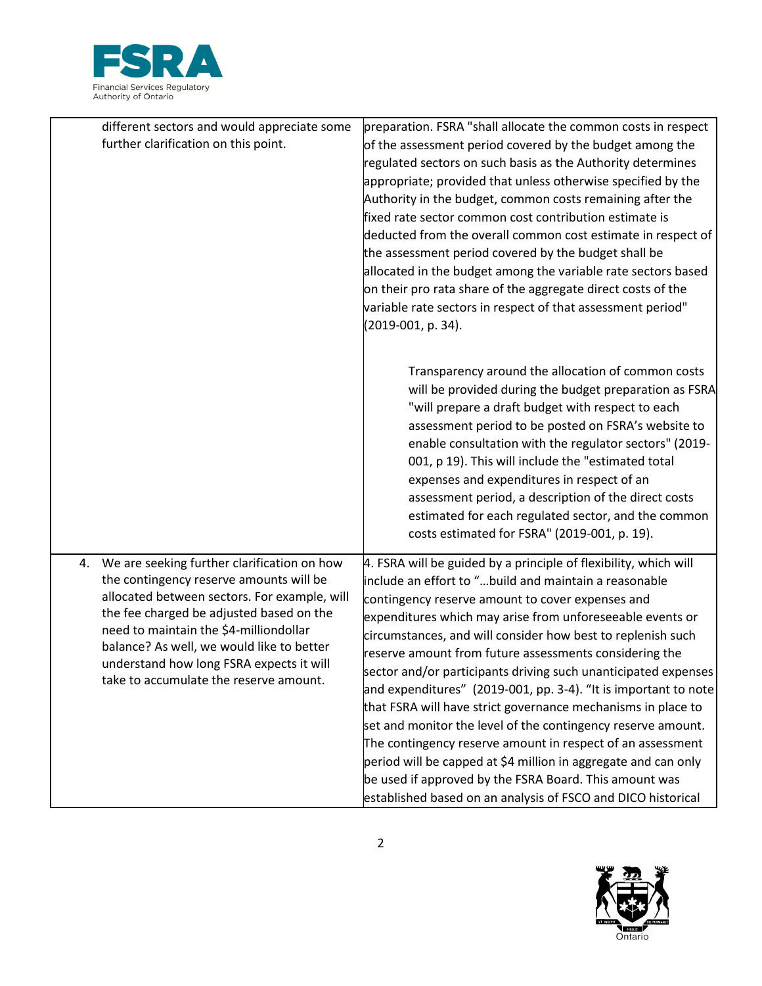

|    | different sectors and would appreciate some<br>further clarification on this point.                                                                                                                                                                                                                                                                             | preparation. FSRA "shall allocate the common costs in respect<br>of the assessment period covered by the budget among the<br>regulated sectors on such basis as the Authority determines<br>appropriate; provided that unless otherwise specified by the<br>Authority in the budget, common costs remaining after the<br>fixed rate sector common cost contribution estimate is<br>deducted from the overall common cost estimate in respect of<br>the assessment period covered by the budget shall be<br>allocated in the budget among the variable rate sectors based<br>on their pro rata share of the aggregate direct costs of the<br>variable rate sectors in respect of that assessment period"<br>(2019-001, p. 34).                                                                                                                                                                         |
|----|-----------------------------------------------------------------------------------------------------------------------------------------------------------------------------------------------------------------------------------------------------------------------------------------------------------------------------------------------------------------|-------------------------------------------------------------------------------------------------------------------------------------------------------------------------------------------------------------------------------------------------------------------------------------------------------------------------------------------------------------------------------------------------------------------------------------------------------------------------------------------------------------------------------------------------------------------------------------------------------------------------------------------------------------------------------------------------------------------------------------------------------------------------------------------------------------------------------------------------------------------------------------------------------|
|    |                                                                                                                                                                                                                                                                                                                                                                 | Transparency around the allocation of common costs<br>will be provided during the budget preparation as FSRA<br>"will prepare a draft budget with respect to each<br>assessment period to be posted on FSRA's website to<br>enable consultation with the regulator sectors" (2019-<br>001, p 19). This will include the "estimated total<br>expenses and expenditures in respect of an<br>assessment period, a description of the direct costs<br>estimated for each regulated sector, and the common<br>costs estimated for FSRA" (2019-001, p. 19).                                                                                                                                                                                                                                                                                                                                                 |
| 4. | We are seeking further clarification on how<br>the contingency reserve amounts will be<br>allocated between sectors. For example, will<br>the fee charged be adjusted based on the<br>need to maintain the \$4-milliondollar<br>balance? As well, we would like to better<br>understand how long FSRA expects it will<br>take to accumulate the reserve amount. | 4. FSRA will be guided by a principle of flexibility, which will<br>include an effort to "build and maintain a reasonable<br>contingency reserve amount to cover expenses and<br>expenditures which may arise from unforeseeable events or<br>circumstances, and will consider how best to replenish such<br>reserve amount from future assessments considering the<br>sector and/or participants driving such unanticipated expenses<br>and expenditures" $(2019-001, pp. 3-4)$ . "It is important to note<br>that FSRA will have strict governance mechanisms in place to<br>set and monitor the level of the contingency reserve amount.<br>The contingency reserve amount in respect of an assessment<br>period will be capped at \$4 million in aggregate and can only<br>be used if approved by the FSRA Board. This amount was<br>established based on an analysis of FSCO and DICO historical |